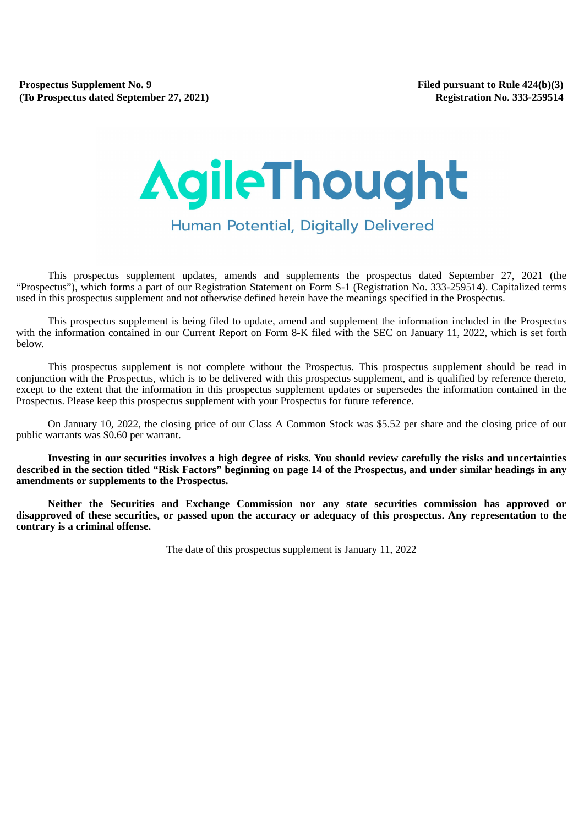# AgileThought Human Potential, Digitally Delivered

This prospectus supplement updates, amends and supplements the prospectus dated September 27, 2021 (the "Prospectus"), which forms a part of our Registration Statement on Form S-1 (Registration No. 333-259514). Capitalized terms used in this prospectus supplement and not otherwise defined herein have the meanings specified in the Prospectus.

This prospectus supplement is being filed to update, amend and supplement the information included in the Prospectus with the information contained in our Current Report on Form 8-K filed with the SEC on January 11, 2022, which is set forth below.

This prospectus supplement is not complete without the Prospectus. This prospectus supplement should be read in conjunction with the Prospectus, which is to be delivered with this prospectus supplement, and is qualified by reference thereto, except to the extent that the information in this prospectus supplement updates or supersedes the information contained in the Prospectus. Please keep this prospectus supplement with your Prospectus for future reference.

On January 10, 2022, the closing price of our Class A Common Stock was \$5.52 per share and the closing price of our public warrants was \$0.60 per warrant.

**Investing in our securities involves a high degree of risks. You should review carefully the risks and uncertainties described in the section titled "Risk Factors" beginning on page 14 of the Prospectus, and under similar headings in any amendments or supplements to the Prospectus.**

**Neither the Securities and Exchange Commission nor any state securities commission has approved or disapproved of these securities, or passed upon the accuracy or adequacy of this prospectus. Any representation to the contrary is a criminal offense.**

The date of this prospectus supplement is January 11, 2022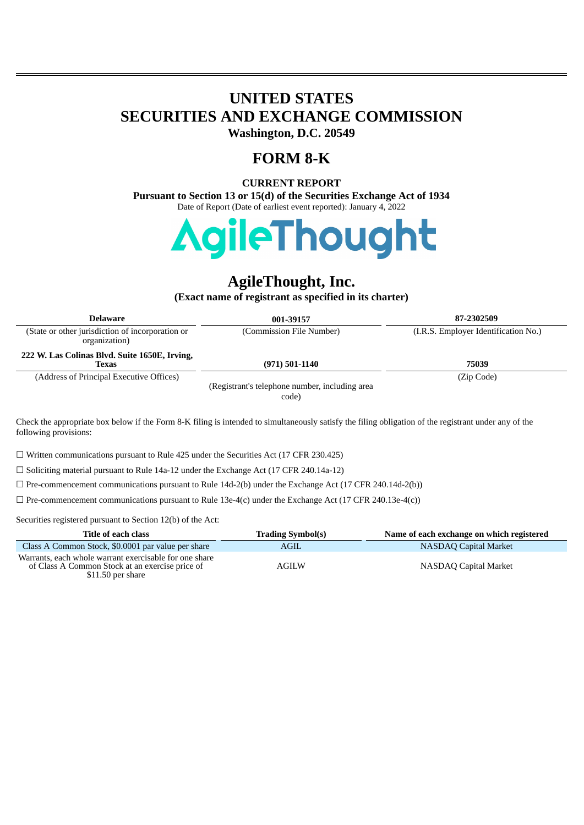## **UNITED STATES SECURITIES AND EXCHANGE COMMISSION Washington, D.C. 20549**

## **FORM 8-K**

## **CURRENT REPORT**

**Pursuant to Section 13 or 15(d) of the Securities Exchange Act of 1934** Date of Report (Date of earliest event reported): January 4, 2022



# **AgileThought, Inc.**

**(Exact name of registrant as specified in its charter)**

| <b>Delaware</b>                                                   | 001-39157                                               | 87-2302509                           |
|-------------------------------------------------------------------|---------------------------------------------------------|--------------------------------------|
| (State or other jurisdiction of incorporation or<br>organization) | (Commission File Number)                                | (I.R.S. Employer Identification No.) |
| 222 W. Las Colinas Blvd. Suite 1650E, Irving,<br><b>Texas</b>     | $(971) 501 - 1140$                                      | 75039                                |
| (Address of Principal Executive Offices)                          | (Registrant's telephone number, including area<br>code) | (Zip Code)                           |

Check the appropriate box below if the Form 8-K filing is intended to simultaneously satisfy the filing obligation of the registrant under any of the following provisions:

☐ Written communications pursuant to Rule 425 under the Securities Act (17 CFR 230.425)

☐ Soliciting material pursuant to Rule 14a-12 under the Exchange Act (17 CFR 240.14a-12)

☐ Pre-commencement communications pursuant to Rule 14d-2(b) under the Exchange Act (17 CFR 240.14d-2(b))

☐ Pre-commencement communications pursuant to Rule 13e-4(c) under the Exchange Act (17 CFR 240.13e-4(c))

Securities registered pursuant to Section 12(b) of the Act:

| Title of each class                                                                                                            | <b>Trading Symbol(s)</b> | Name of each exchange on which registered |
|--------------------------------------------------------------------------------------------------------------------------------|--------------------------|-------------------------------------------|
| Class A Common Stock, \$0.0001 par value per share                                                                             | AGIL                     | <b>NASDAQ Capital Market</b>              |
| Warrants, each whole warrant exercisable for one share<br>of Class A Common Stock at an exercise price of<br>\$11.50 per share | AGILW                    | NASDAQ Capital Market                     |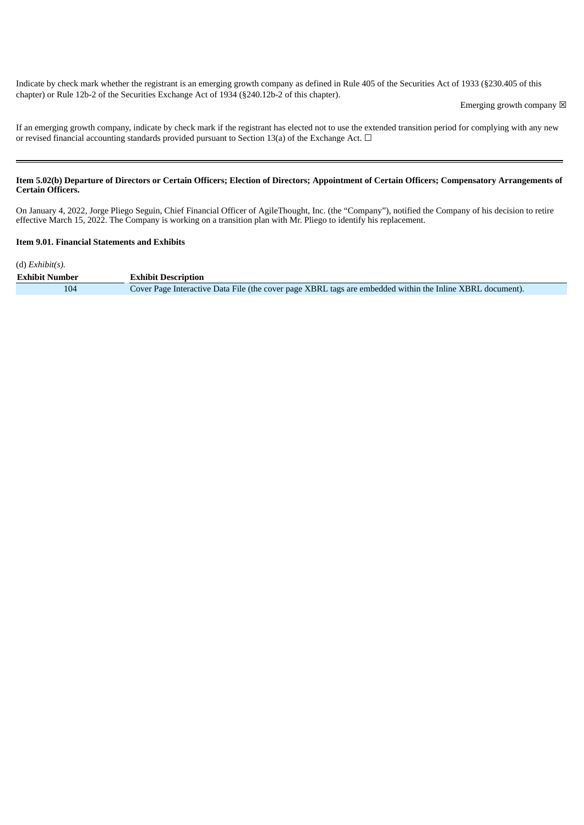Indicate by check mark whether the registrant is an emerging growth company as defined in Rule 405 of the Securities Act of 1933 (§230.405 of this chapter) or Rule 12b-2 of the Securities Exchange Act of 1934 (§240.12b-2 of this chapter).

Emerging growth company  $\boxtimes$ 

If an emerging growth company, indicate by check mark if the registrant has elected not to use the extended transition period for complying with any new or revised financial accounting standards provided pursuant to Section 13(a) of the Exchange Act.  $\Box$ 

#### Item 5.02(b) Departure of Directors or Certain Officers; Election of Directors; Appointment of Certain Officers; Compensatory Arrangements of **Certain Officers.**

On January 4, 2022, Jorge Pliego Seguin, Chief Financial Officer of AgileThought, Inc. (the "Company"), notified the Company of his decision to retire effective March 15, 2022. The Company is working on a transition plan with Mr. Pliego to identify his replacement.

#### **Item 9.01. Financial Statements and Exhibits**

(d) *Exhibit(s).* **Exhibit Number Exhibit Description** 104 Cover Page Interactive Data File (the cover page XBRL tags are embedded within the Inline XBRL document).